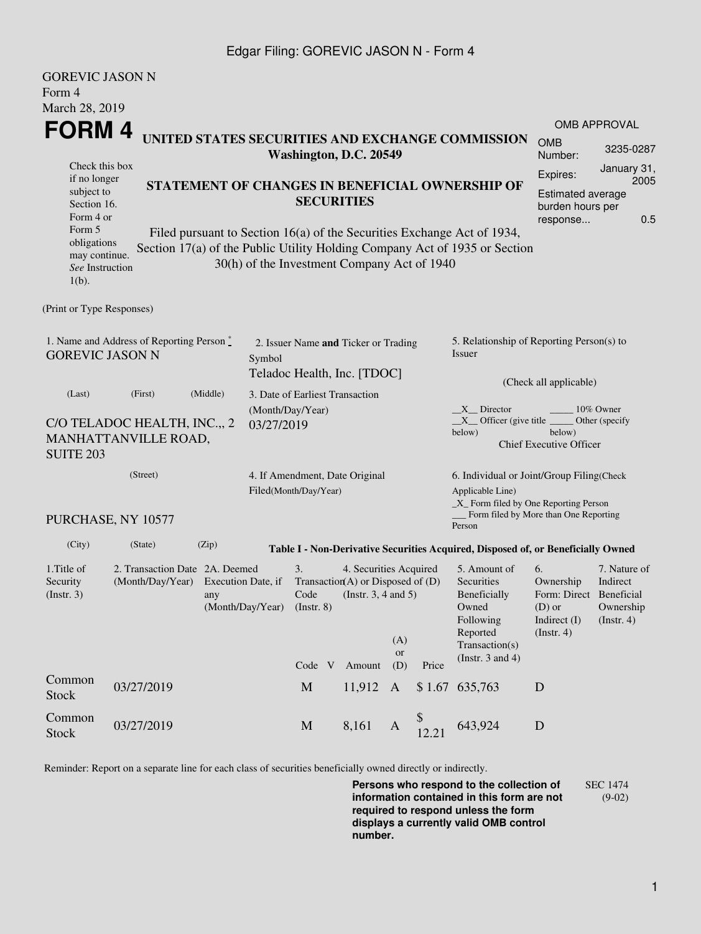## Edgar Filing: GOREVIC JASON N - Form 4

| <b>GOREVIC JASON N</b>                                                        |                                                                                                     |                                                                                                                                                                                                                         |                                |                                                                     |                                                                                           |                         |        |                                                                                                           |                                                                                       |                                                      |  |  |
|-------------------------------------------------------------------------------|-----------------------------------------------------------------------------------------------------|-------------------------------------------------------------------------------------------------------------------------------------------------------------------------------------------------------------------------|--------------------------------|---------------------------------------------------------------------|-------------------------------------------------------------------------------------------|-------------------------|--------|-----------------------------------------------------------------------------------------------------------|---------------------------------------------------------------------------------------|------------------------------------------------------|--|--|
| Form 4                                                                        |                                                                                                     |                                                                                                                                                                                                                         |                                |                                                                     |                                                                                           |                         |        |                                                                                                           |                                                                                       |                                                      |  |  |
| March 28, 2019                                                                |                                                                                                     |                                                                                                                                                                                                                         |                                |                                                                     |                                                                                           |                         |        |                                                                                                           |                                                                                       |                                                      |  |  |
| <b>FORM4</b><br>UNITED STATES SECURITIES AND EXCHANGE COMMISSION              |                                                                                                     |                                                                                                                                                                                                                         |                                |                                                                     |                                                                                           |                         |        |                                                                                                           |                                                                                       | <b>OMB APPROVAL</b>                                  |  |  |
|                                                                               |                                                                                                     |                                                                                                                                                                                                                         | Washington, D.C. 20549         | <b>OMB</b><br>Number:                                               | 3235-0287                                                                                 |                         |        |                                                                                                           |                                                                                       |                                                      |  |  |
| Check this box<br>if no longer                                                |                                                                                                     |                                                                                                                                                                                                                         | Expires:                       | January 31,<br>2005                                                 |                                                                                           |                         |        |                                                                                                           |                                                                                       |                                                      |  |  |
| subject to<br>Section 16.<br>Form 4 or                                        |                                                                                                     | STATEMENT OF CHANGES IN BENEFICIAL OWNERSHIP OF<br><b>SECURITIES</b>                                                                                                                                                    |                                |                                                                     |                                                                                           |                         |        |                                                                                                           |                                                                                       |                                                      |  |  |
| Form 5<br>obligations<br>may continue.<br>See Instruction<br>$1(b)$ .         |                                                                                                     | 0.5<br>response<br>Filed pursuant to Section 16(a) of the Securities Exchange Act of 1934,<br>Section 17(a) of the Public Utility Holding Company Act of 1935 or Section<br>30(h) of the Investment Company Act of 1940 |                                |                                                                     |                                                                                           |                         |        |                                                                                                           |                                                                                       |                                                      |  |  |
| (Print or Type Responses)                                                     |                                                                                                     |                                                                                                                                                                                                                         |                                |                                                                     |                                                                                           |                         |        |                                                                                                           |                                                                                       |                                                      |  |  |
| 1. Name and Address of Reporting Person *<br><b>GOREVIC JASON N</b><br>Symbol |                                                                                                     |                                                                                                                                                                                                                         |                                | 2. Issuer Name and Ticker or Trading<br>Teladoc Health, Inc. [TDOC] |                                                                                           |                         |        | 5. Relationship of Reporting Person(s) to<br>Issuer                                                       |                                                                                       |                                                      |  |  |
| (Last)                                                                        | (First)                                                                                             | (Middle)                                                                                                                                                                                                                |                                | 3. Date of Earliest Transaction                                     |                                                                                           |                         |        | (Check all applicable)                                                                                    |                                                                                       |                                                      |  |  |
| <b>SUITE 203</b>                                                              | C/O TELADOC HEALTH, INC.,, 2<br>MANHATTANVILLE ROAD,                                                |                                                                                                                                                                                                                         | (Month/Day/Year)<br>03/27/2019 |                                                                     |                                                                                           |                         |        | X Director<br>$X$ Officer (give title $\overline{\phantom{a}}$<br>below)                                  | below)<br><b>Chief Executive Officer</b>                                              | 10% Owner<br>Other (specify                          |  |  |
|                                                                               | (Street)<br>4. If Amendment, Date Original<br>Filed(Month/Day/Year)                                 |                                                                                                                                                                                                                         |                                |                                                                     |                                                                                           |                         |        | 6. Individual or Joint/Group Filing(Check<br>Applicable Line)<br>$\_X$ Form filed by One Reporting Person |                                                                                       |                                                      |  |  |
|                                                                               | PURCHASE, NY 10577                                                                                  |                                                                                                                                                                                                                         |                                |                                                                     |                                                                                           |                         |        | _Form filed by More than One Reporting<br>Person                                                          |                                                                                       |                                                      |  |  |
| (City)                                                                        | (State)                                                                                             | (Zip)                                                                                                                                                                                                                   |                                |                                                                     |                                                                                           |                         |        | Table I - Non-Derivative Securities Acquired, Disposed of, or Beneficially Owned                          |                                                                                       |                                                      |  |  |
| 1. Title of<br>Security<br>(Insert. 3)                                        | 2. Transaction Date 2A. Deemed<br>(Month/Day/Year)<br>Execution Date, if<br>any<br>(Month/Day/Year) |                                                                                                                                                                                                                         |                                | 3.<br>Code<br>$($ Instr. 8 $)$                                      | 4. Securities Acquired<br>Transaction(A) or Disposed of $(D)$<br>(Instr. $3, 4$ and $5$ ) |                         |        | 5. Amount of<br>Securities<br>Beneficially<br>Owned<br>Following<br>Reported                              | 6.<br>Ownership<br>Form: Direct Beneficial<br>$(D)$ or<br>Indirect (I)<br>(Insert. 4) | 7. Nature of<br>Indirect<br>Ownership<br>(Insert. 4) |  |  |
|                                                                               |                                                                                                     |                                                                                                                                                                                                                         |                                | Code V                                                              | Amount                                                                                    | (A)<br><b>or</b><br>(D) | Price  | Transaction(s)<br>(Instr. $3$ and $4$ )                                                                   |                                                                                       |                                                      |  |  |
| Common<br>Stock                                                               | 03/27/2019                                                                                          |                                                                                                                                                                                                                         |                                | $\mathbf M$                                                         | 11,912                                                                                    | A                       | \$1.67 | 635,763                                                                                                   | D                                                                                     |                                                      |  |  |
| Common<br><b>Stock</b>                                                        | 03/27/2019                                                                                          |                                                                                                                                                                                                                         |                                | $\mathbf M$                                                         | 8,161                                                                                     | A                       | 12.21  | 643,924                                                                                                   | $\mathbf D$                                                                           |                                                      |  |  |

Reminder: Report on a separate line for each class of securities beneficially owned directly or indirectly.

**Persons who respond to the collection of information contained in this form are not required to respond unless the form displays a currently valid OMB control number.** SEC 1474 (9-02)